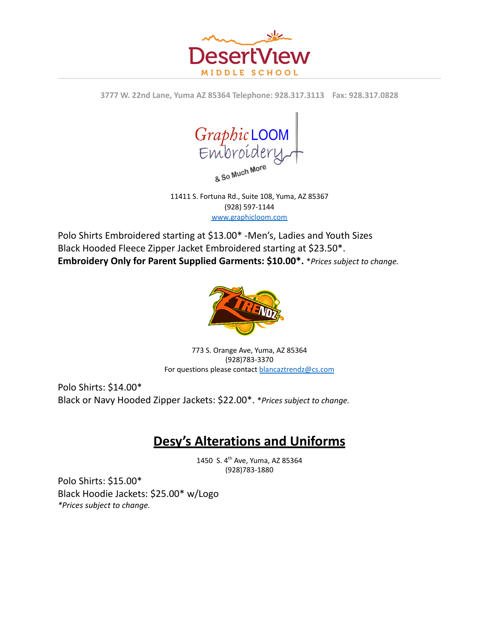

**3777 W. 22nd Lane, Yuma AZ 85364 Telephone: 928.317.3113 Fax: 928.317.0828**



11411 S. Fortuna Rd., Suite 108, Yuma, AZ 85367 (928) 597-1144 [www.graphicloom.com](http://www.graphicloom.com)

Polo Shirts Embroidered starting at \$13.00\* -Men's, Ladies and Youth Sizes Black Hooded Fleece Zipper Jacket Embroidered starting at \$23.50\*. **Embroidery Only for Parent Supplied Garments: \$10.00\*.** \**Prices subject to change.*



773 S. Orange Ave, Yuma, AZ 85364 (928)783-3370 For questions please contact [blancaztrendz@cs.com](mailto:blancaztrendz@cs.com)

Polo Shirts: \$14.00\* Black or Navy Hooded Zipper Jackets: \$22.00\*. \**Prices subject to change.*

## **Desy's Alterations and Uniforms**

1450 S. 4 th Ave, Yuma, AZ 85364 (928)783-1880

Polo Shirts: \$15.00\* Black Hoodie Jackets: \$25.00\* w/Logo *\*Prices subject to change.*